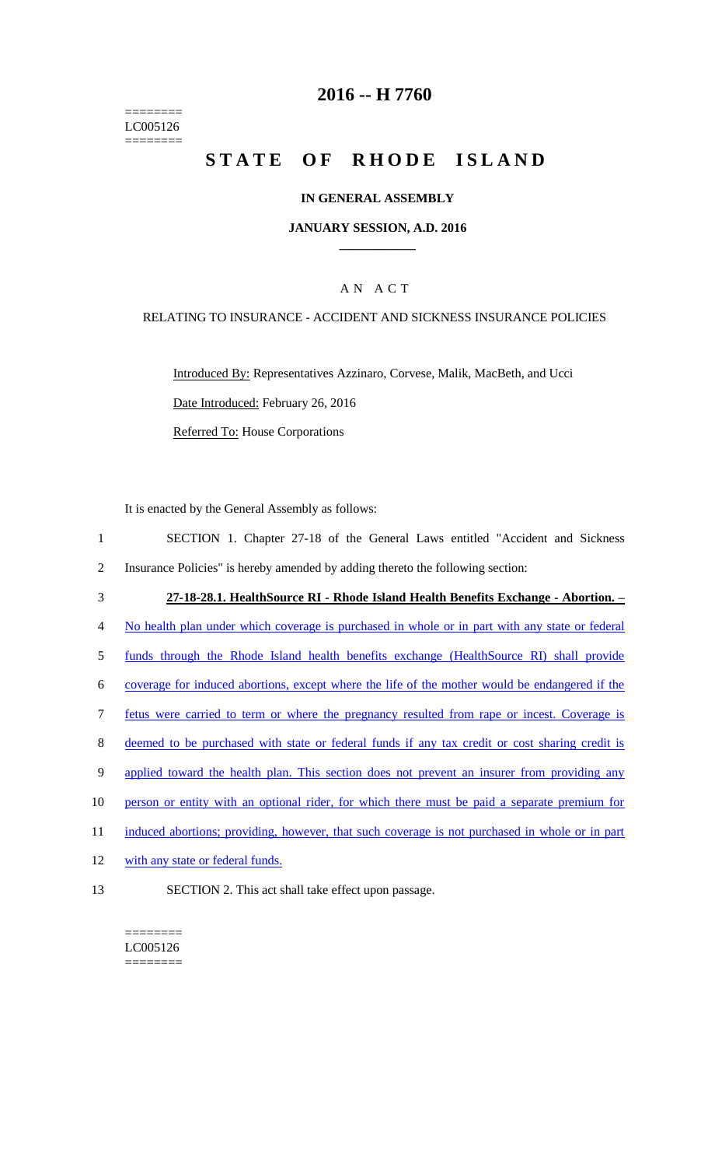======== LC005126  $=$ 

## **2016 -- H 7760**

# **STATE OF RHODE ISLAND**

#### **IN GENERAL ASSEMBLY**

#### **JANUARY SESSION, A.D. 2016 \_\_\_\_\_\_\_\_\_\_\_\_**

### A N A C T

#### RELATING TO INSURANCE - ACCIDENT AND SICKNESS INSURANCE POLICIES

Introduced By: Representatives Azzinaro, Corvese, Malik, MacBeth, and Ucci Date Introduced: February 26, 2016 Referred To: House Corporations

It is enacted by the General Assembly as follows:

| $\mathbf{1}$ | SECTION 1. Chapter 27-18 of the General Laws entitled "Accident and Sickness"                  |
|--------------|------------------------------------------------------------------------------------------------|
| 2            | Insurance Policies" is hereby amended by adding thereto the following section:                 |
| 3            | 27-18-28.1. HealthSource RI - Rhode Island Health Benefits Exchange - Abortion. -              |
| 4            | No health plan under which coverage is purchased in whole or in part with any state or federal |
| 5            | funds through the Rhode Island health benefits exchange (HealthSource RI) shall provide        |
| 6            | coverage for induced abortions, except where the life of the mother would be endangered if the |
| $\tau$       | fetus were carried to term or where the pregnancy resulted from rape or incest. Coverage is    |
| 8            | deemed to be purchased with state or federal funds if any tax credit or cost sharing credit is |

- 9 applied toward the health plan. This section does not prevent an insurer from providing any
- 10 person or entity with an optional rider, for which there must be paid a separate premium for
- 11 induced abortions; providing, however, that such coverage is not purchased in whole or in part
- 12 with any state or federal funds.
- 13 SECTION 2. This act shall take effect upon passage.

======== LC005126 ========